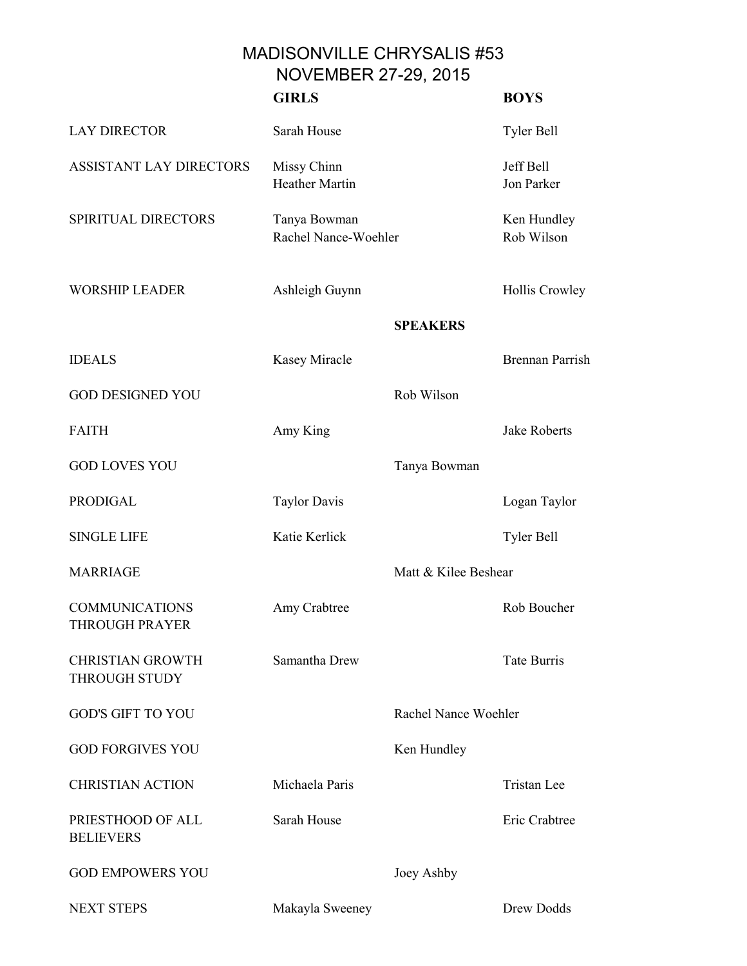MADISONVILLE CHRYSALIS #53 NOVEMBER 27-29, 2015

|                                                 | <b>GIRLS</b>                         |                      | <b>BOYS</b>               |
|-------------------------------------------------|--------------------------------------|----------------------|---------------------------|
| <b>LAY DIRECTOR</b>                             | Sarah House                          |                      | Tyler Bell                |
| <b>ASSISTANT LAY DIRECTORS</b>                  | Missy Chinn<br><b>Heather Martin</b> |                      | Jeff Bell<br>Jon Parker   |
| SPIRITUAL DIRECTORS                             | Tanya Bowman<br>Rachel Nance-Woehler |                      | Ken Hundley<br>Rob Wilson |
| <b>WORSHIP LEADER</b>                           | Ashleigh Guynn                       |                      | Hollis Crowley            |
|                                                 |                                      | <b>SPEAKERS</b>      |                           |
| <b>IDEALS</b>                                   | Kasey Miracle                        |                      | <b>Brennan Parrish</b>    |
| <b>GOD DESIGNED YOU</b>                         |                                      | Rob Wilson           |                           |
| <b>FAITH</b>                                    | Amy King                             |                      | <b>Jake Roberts</b>       |
| <b>GOD LOVES YOU</b>                            |                                      | Tanya Bowman         |                           |
| <b>PRODIGAL</b>                                 | <b>Taylor Davis</b>                  |                      | Logan Taylor              |
| <b>SINGLE LIFE</b>                              | Katie Kerlick                        |                      | Tyler Bell                |
| <b>MARRIAGE</b>                                 |                                      | Matt & Kilee Beshear |                           |
| <b>COMMUNICATIONS</b><br><b>THROUGH PRAYER</b>  | Amy Crabtree                         |                      | Rob Boucher               |
| <b>CHRISTIAN GROWTH</b><br><b>THROUGH STUDY</b> | Samantha Drew                        |                      | <b>Tate Burris</b>        |
| <b>GOD'S GIFT TO YOU</b>                        |                                      | Rachel Nance Woehler |                           |
| <b>GOD FORGIVES YOU</b>                         |                                      | Ken Hundley          |                           |
| <b>CHRISTIAN ACTION</b>                         | Michaela Paris                       |                      | Tristan Lee               |
| PRIESTHOOD OF ALL<br><b>BELIEVERS</b>           | Sarah House                          |                      | Eric Crabtree             |
| <b>GOD EMPOWERS YOU</b>                         |                                      | Joey Ashby           |                           |
| <b>NEXT STEPS</b>                               | Makayla Sweeney                      |                      | Drew Dodds                |